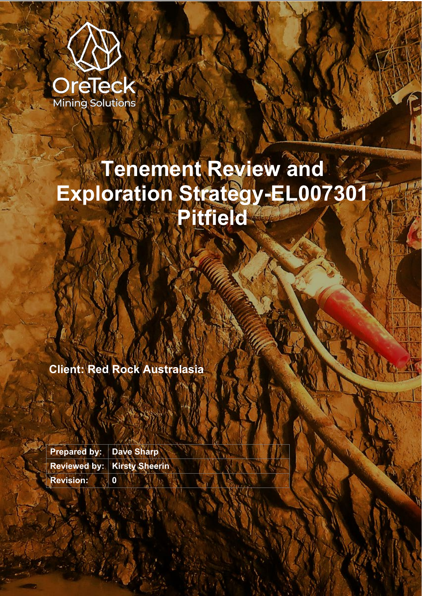

# **Tenement Review and Exploration Strategy-EL007301 Pitfield**

**Client: Red Rock Australasia**

**Prepared by: Dave Sharp Reviewed by: Kirsty Sheerin Revision: 0**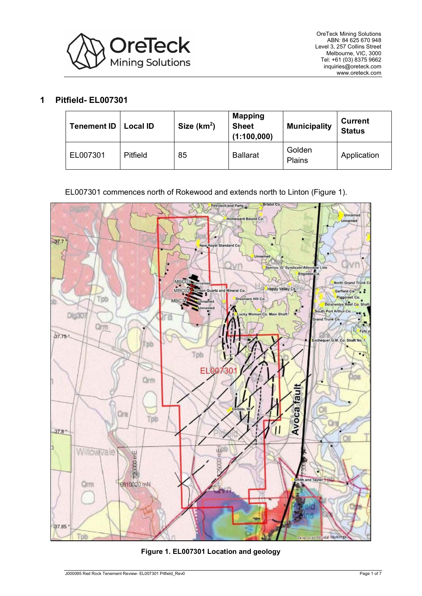

# **1 Pitfield- EL007301**

| <b>Tenement ID</b> | <b>Local ID</b> | Size $(km2)$ | <b>Mapping</b><br><b>Sheet</b><br>(1:100,000) | <b>Municipality</b> | <b>Current</b><br><b>Status</b> |
|--------------------|-----------------|--------------|-----------------------------------------------|---------------------|---------------------------------|
| EL007301           | <b>Pitfield</b> | 85           | <b>Ballarat</b>                               | Golden<br>Plains    | Application                     |

EL007301 commences north of Rokewood and extends north to Linton [\(Figure 1\)](#page-1-0).

<span id="page-1-0"></span>

<span id="page-1-1"></span>**Figure 1. EL007301 Location and geology**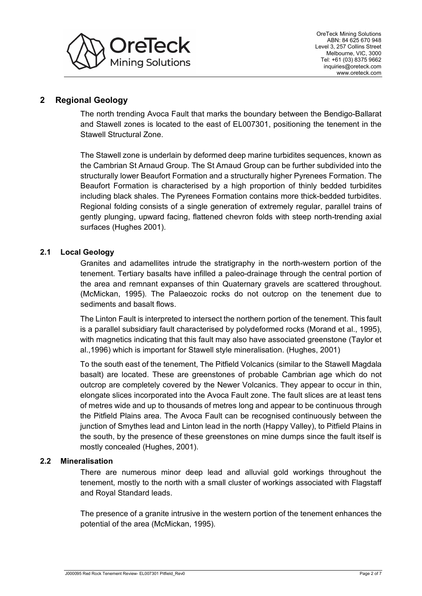

# **2 Regional Geology**

The north trending Avoca Fault that marks the boundary between the Bendigo-Ballarat and Stawell zones is located to the east of EL007301, positioning the tenement in the Stawell Structural Zone.

The Stawell zone is underlain by deformed deep marine turbidites sequences, known as the Cambrian St Arnaud Group. The St Arnaud Group can be further subdivided into the structurally lower Beaufort Formation and a structurally higher Pyrenees Formation. The Beaufort Formation is characterised by a high proportion of thinly bedded turbidites including black shales. The Pyrenees Formation contains more thick-bedded turbidites. Regional folding consists of a single generation of extremely regular, parallel trains of gently plunging, upward facing, flattened chevron folds with steep north-trending axial surfaces (Hughes 2001).

# **2.1 Local Geology**

Granites and adamellites intrude the stratigraphy in the north-western portion of the tenement. Tertiary basalts have infilled a paleo-drainage through the central portion of the area and remnant expanses of thin Quaternary gravels are scattered throughout. (McMickan, 1995). The Palaeozoic rocks do not outcrop on the tenement due to sediments and basalt flows.

The Linton Fault is interpreted to intersect the northern portion of the tenement. This fault is a parallel subsidiary fault characterised by polydeformed rocks (Morand et al., 1995), with magnetics indicating that this fault may also have associated greenstone (Taylor et al.,1996) which is important for Stawell style mineralisation. (Hughes, 2001)

To the south east of the tenement, The Pitfield Volcanics (similar to the Stawell Magdala basalt) are located. These are greenstones of probable Cambrian age which do not outcrop are completely covered by the Newer Volcanics. They appear to occur in thin, elongate slices incorporated into the Avoca Fault zone. The fault slices are at least tens of metres wide and up to thousands of metres long and appear to be continuous through the Pitfield Plains area. The Avoca Fault can be recognised continuously between the junction of Smythes lead and Linton lead in the north (Happy Valley), to Pitfield Plains in the south, by the presence of these greenstones on mine dumps since the fault itself is mostly concealed (Hughes, 2001).

# **2.2 Mineralisation**

There are numerous minor deep lead and alluvial gold workings throughout the tenement, mostly to the north with a small cluster of workings associated with Flagstaff and Royal Standard leads.

The presence of a granite intrusive in the western portion of the tenement enhances the potential of the area (McMickan, 1995).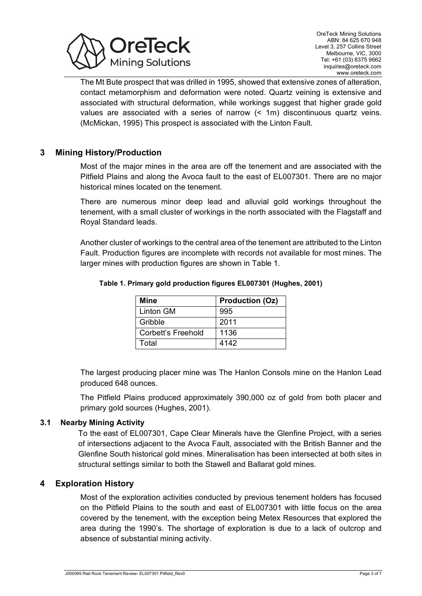

The Mt Bute prospect that was drilled in 1995, showed that extensive zones of alteration, contact metamorphism and deformation were noted. Quartz veining is extensive and associated with structural deformation, while workings suggest that higher grade gold values are associated with a series of narrow (< 1m) discontinuous quartz veins. (McMickan, 1995) This prospect is associated with the Linton Fault.

# **3 Mining History/Production**

Most of the major mines in the area are off the tenement and are associated with the Pitfield Plains and along the Avoca fault to the east of EL007301. There are no major historical mines located on the tenement.

There are numerous minor deep lead and alluvial gold workings throughout the tenement, with a small cluster of workings in the north associated with the Flagstaff and Royal Standard leads.

<span id="page-3-0"></span>Another cluster of workings to the central area of the tenement are attributed to the Linton Fault. Production figures are incomplete with records not available for most mines. The larger mines with production figures are shown in [Table 1.](#page-3-0)

| <b>Mine</b>        | <b>Production (Oz)</b> |
|--------------------|------------------------|
| <b>Linton GM</b>   | 995                    |
| Gribble            | 2011                   |
| Corbett's Freehold | 1136                   |
| Total              | 4142                   |

#### **Table 1. Primary gold production figures EL007301 (Hughes, 2001)**

The largest producing placer mine was The Hanlon Consols mine on the Hanlon Lead produced 648 ounces.

The Pitfield Plains produced approximately 390,000 oz of gold from both placer and primary gold sources (Hughes, 2001).

## **3.1 Nearby Mining Activity**

To the east of EL007301, Cape Clear Minerals have the Glenfine Project, with a series of intersections adjacent to the Avoca Fault, associated with the British Banner and the Glenfine South historical gold mines. Mineralisation has been intersected at both sites in structural settings similar to both the Stawell and Ballarat gold mines.

## **4 Exploration History**

Most of the exploration activities conducted by previous tenement holders has focused on the Pitfield Plains to the south and east of EL007301 with little focus on the area covered by the tenement, with the exception being Metex Resources that explored the area during the 1990's. The shortage of exploration is due to a lack of outcrop and absence of substantial mining activity.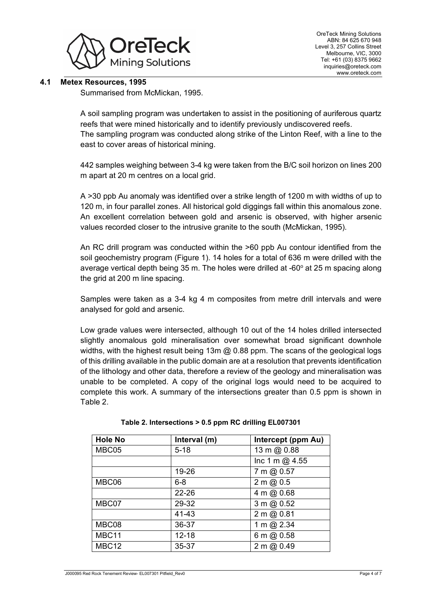

# **4.1 Metex Resources, 1995**

Summarised from McMickan, 1995.

A soil sampling program was undertaken to assist in the positioning of auriferous quartz reefs that were mined historically and to identify previously undiscovered reefs. The sampling program was conducted along strike of the Linton Reef, with a line to the east to cover areas of historical mining.

442 samples weighing between 3-4 kg were taken from the B/C soil horizon on lines 200 m apart at 20 m centres on a local grid.

A >30 ppb Au anomaly was identified over a strike length of 1200 m with widths of up to 120 m, in four parallel zones. All historical gold diggings fall within this anomalous zone. An excellent correlation between gold and arsenic is observed, with higher arsenic values recorded closer to the intrusive granite to the south (McMickan, 1995).

An RC drill program was conducted within the >60 ppb Au contour identified from the soil geochemistry program [\(Figure 1\)](#page-1-1). 14 holes for a total of 636 m were drilled with the average vertical depth being 35 m. The holes were drilled at  $-60^\circ$  at 25 m spacing along the grid at 200 m line spacing.

Samples were taken as a 3-4 kg 4 m composites from metre drill intervals and were analysed for gold and arsenic.

Low grade values were intersected, although 10 out of the 14 holes drilled intersected slightly anomalous gold mineralisation over somewhat broad significant downhole widths, with the highest result being 13m @ 0.88 ppm. The scans of the geological logs of this drilling available in the public domain are at a resolution that prevents identification of the lithology and other data, therefore a review of the geology and mineralisation was unable to be completed. A copy of the original logs would need to be acquired to complete this work. A summary of the intersections greater than 0.5 ppm is shown in [Table 2.](#page-4-0)

<span id="page-4-0"></span>

| <b>Hole No</b>    | Interval (m) | Intercept (ppm Au) |
|-------------------|--------------|--------------------|
| MBC05             | $5 - 18$     | 13 m @ 0.88        |
|                   |              | Inc 1 m $@$ 4.55   |
|                   | 19-26        | 7 m @ 0.57         |
| MBC06             | $6 - 8$      | 2 m (20.5)         |
|                   | $22 - 26$    | 4 m @ 0.68         |
| MBC07             | 29-32        | 3 m @ 0.52         |
|                   | 41-43        | 2 m @ 0.81         |
| MBC08             | 36-37        | 1 m @ 2.34         |
| MBC11             | $12 - 18$    | 6 m @ 0.58         |
| MBC <sub>12</sub> | 35-37        | 2 m (20.49)        |

|  | Table 2. Intersections > 0.5 ppm RC drilling EL007301 |  |  |  |  |
|--|-------------------------------------------------------|--|--|--|--|
|--|-------------------------------------------------------|--|--|--|--|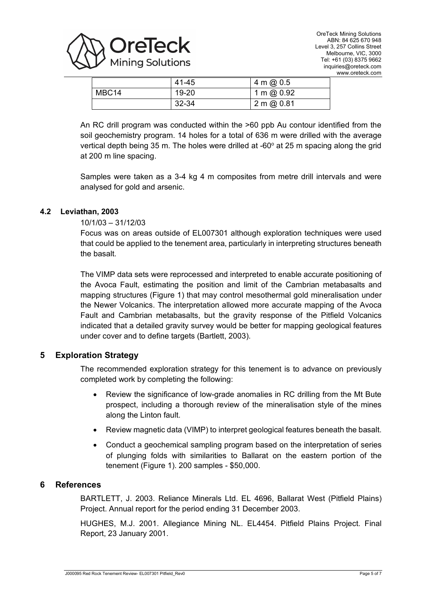

|                   | 41-45 | 4 m @ $0.5$  |
|-------------------|-------|--------------|
| MBC <sub>14</sub> | 19-20 | 1 m @ $0.92$ |
|                   | 32-34 | 2 m (20.81)  |

An RC drill program was conducted within the >60 ppb Au contour identified from the soil geochemistry program. 14 holes for a total of 636 m were drilled with the average vertical depth being 35 m. The holes were drilled at  $-60^\circ$  at 25 m spacing along the grid at 200 m line spacing.

Samples were taken as a 3-4 kg 4 m composites from metre drill intervals and were analysed for gold and arsenic.

# **4.2 Leviathan, 2003**

# 10/1/03 – 31/12/03

Focus was on areas outside of EL007301 although exploration techniques were used that could be applied to the tenement area, particularly in interpreting structures beneath the basalt.

The VIMP data sets were reprocessed and interpreted to enable accurate positioning of the Avoca Fault, estimating the position and limit of the Cambrian metabasalts and mapping structures [\(Figure 1\)](#page-1-1) that may control mesothermal gold mineralisation under the Newer Volcanics. The interpretation allowed more accurate mapping of the Avoca Fault and Cambrian metabasalts, but the gravity response of the Pitfield Volcanics indicated that a detailed gravity survey would be better for mapping geological features under cover and to define targets (Bartlett, 2003).

# **5 Exploration Strategy**

The recommended exploration strategy for this tenement is to advance on previously completed work by completing the following:

- Review the significance of low-grade anomalies in RC drilling from the Mt Bute prospect, including a thorough review of the mineralisation style of the mines along the Linton fault.
- Review magnetic data (VIMP) to interpret geological features beneath the basalt.
- Conduct a geochemical sampling program based on the interpretation of series of plunging folds with similarities to Ballarat on the eastern portion of the tenement [\(Figure 1\)](#page-1-1). 200 samples - \$50,000.

## **6 References**

BARTLETT, J. 2003. Reliance Minerals Ltd. EL 4696, Ballarat West (Pitfield Plains) Project. Annual report for the period ending 31 December 2003.

HUGHES, M.J. 2001. Allegiance Mining NL. EL4454. Pitfield Plains Project. Final Report, 23 January 2001.